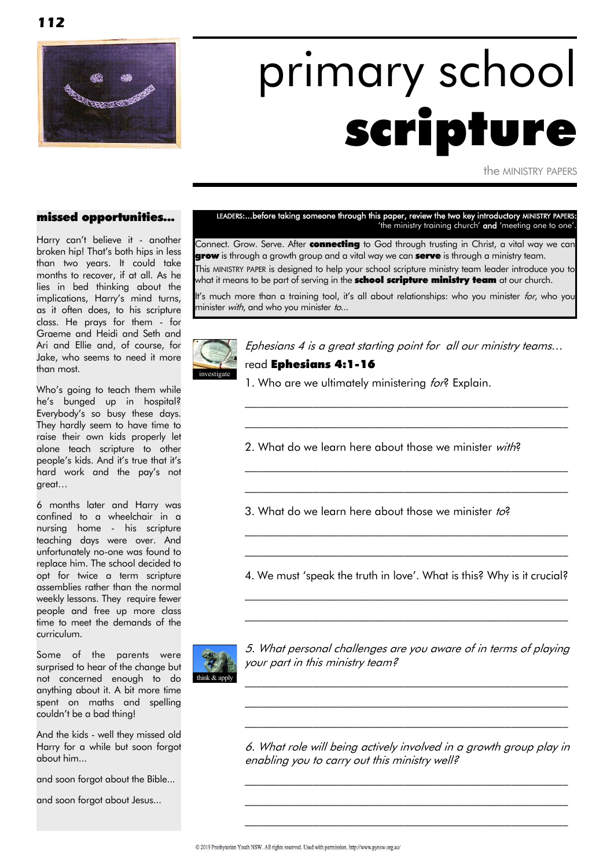

# primary school scripture

the MINISTRY PAPERS

#### missed opportunities...

Harry can"t believe it - another broken hip! That"s both hips in less than two years. It could take months to recover, if at all. As he lies in bed thinking about the implications, Harry's mind turns, as it often does, to his scripture class. He prays for them - for Graeme and Heidi and Seth and Ari and Ellie and, of course, for Jake, who seems to need it more than most.

Who"s going to teach them while he"s bunged up in hospital? Everybody"s so busy these days. They hardly seem to have time to raise their own kids properly let alone teach scripture to other people"s kids. And it"s true that it"s hard work and the pay"s not great…

6 months later and Harry was confined to a wheelchair in a nursing home - his scripture teaching days were over. And unfortunately no-one was found to replace him. The school decided to opt for twice a term scripture assemblies rather than the normal weekly lessons. They require fewer people and free up more class time to meet the demands of the curriculum.

Some of the parents were surprised to hear of the change but not concerned enough to do anything about it. A bit more time spent on maths and spelling couldn"t be a bad thing!

And the kids - well they missed old Harry for a while but soon forgot about him...

and soon forgot about the Bible...

and soon forgot about Jesus...

#### LEADERS:...before taking someone through this paper, review the two key introductory MINISTRY PAPERS: 'the ministry training church' and 'meeting one to one"

Connect. Grow. Serve. After connecting to God through trusting in Christ, a vital way we can grow is through a growth group and a vital way we can serve is through a ministry team. This MINISTRY PAPER is designed to help your school scripture ministry team leader introduce you to what it means to be part of serving in the **school scripture ministry team** at our church.

It's much more than a training tool, it's all about relationships: who you minister for, who you minister with, and who you minister to...



Ephesians 4 is a great starting point for all our ministry teams… read Ephesians 4:1-16

\_\_\_\_\_\_\_\_\_\_\_\_\_\_\_\_\_\_\_\_\_\_\_\_\_\_\_\_\_\_\_\_\_\_\_\_\_\_\_\_\_\_\_\_\_\_\_\_\_\_\_\_\_\_\_\_\_  $\mathcal{L}_\text{max}$  and the contract of the contract of the contract of the contract of the contract of the contract of

\_\_\_\_\_\_\_\_\_\_\_\_\_\_\_\_\_\_\_\_\_\_\_\_\_\_\_\_\_\_\_\_\_\_\_\_\_\_\_\_\_\_\_\_\_\_\_\_\_\_\_\_\_\_\_\_\_ \_\_\_\_\_\_\_\_\_\_\_\_\_\_\_\_\_\_\_\_\_\_\_\_\_\_\_\_\_\_\_\_\_\_\_\_\_\_\_\_\_\_\_\_\_\_\_\_\_\_\_\_\_\_\_\_\_

1. Who are we ultimately ministering for? Explain.

2. What do we learn here about those we minister with?

3. What do we learn here about those we minister to?

4. We must 'speak the truth in love'. What is this? Why is it crucial? \_\_\_\_\_\_\_\_\_\_\_\_\_\_\_\_\_\_\_\_\_\_\_\_\_\_\_\_\_\_\_\_\_\_\_\_\_\_\_\_\_\_\_\_\_\_\_\_\_\_\_\_\_\_\_\_\_

 $\mathcal{L}_\text{max}$  and the contract of the contract of the contract of the contract of the contract of the contract of

 $\mathcal{L}_\text{max}$  and the contract of the contract of the contract of the contract of the contract of the contract of \_\_\_\_\_\_\_\_\_\_\_\_\_\_\_\_\_\_\_\_\_\_\_\_\_\_\_\_\_\_\_\_\_\_\_\_\_\_\_\_\_\_\_\_\_\_\_\_\_\_\_\_\_\_\_\_\_



5. What personal challenges are you aware of in terms of playing your part in this ministry team?

 $\mathcal{L}_\text{max}$  and the contract of the contract of the contract of the contract of the contract of the contract of  $\mathcal{L}_\text{max}$  and the contract of the contract of the contract of the contract of the contract of the contract of  $\mathcal{L}_\text{max}$  and the contract of the contract of the contract of the contract of the contract of the contract of the contract of the contract of the contract of the contract of the contract of the contract of the contrac

6. What role will being actively involved in a growth group play in enabling you to carry out this ministry well?

\_\_\_\_\_\_\_\_\_\_\_\_\_\_\_\_\_\_\_\_\_\_\_\_\_\_\_\_\_\_\_\_\_\_\_\_\_\_\_\_\_\_\_\_\_\_\_\_\_\_\_\_\_\_\_\_\_  $\mathcal{L}_\text{max}$  and the contract of the contract of the contract of the contract of the contract of the contract of  $\mathcal{L}_\text{max}$  and the contract of the contract of the contract of the contract of the contract of the contract of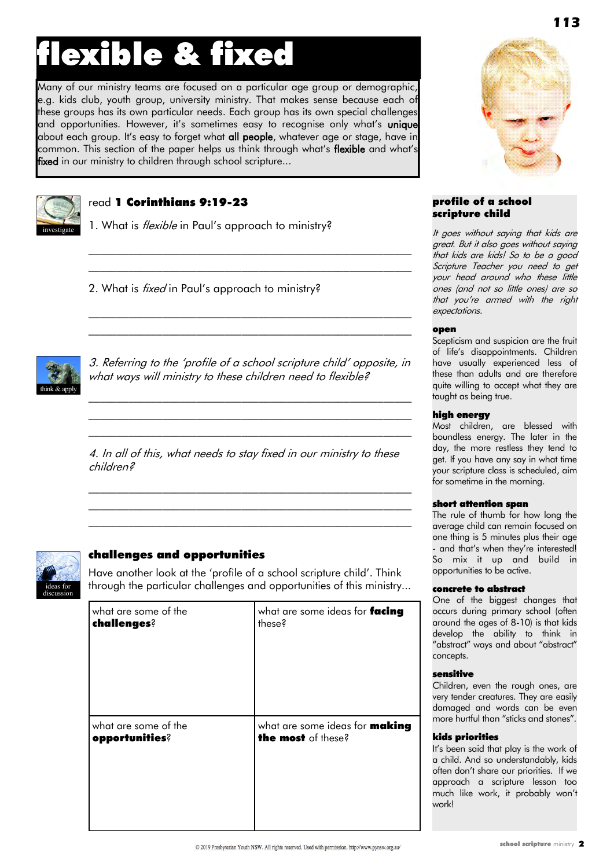### flexible & fixed

Many of our ministry teams are focused on a particular age group or demographic, e.g. kids club, youth group, university ministry. That makes sense because each of these groups has its own particular needs. Each group has its own special challenges and opportunities. However, it's sometimes easy to recognise only what's **unique** about each group. It's easy to forget what all people, whatever age or stage, have in common. This section of the paper helps us think through what's flexible and what's fixed in our ministry to children through school scripture...



#### read 1 Corinthians 9:19-23

1. What is *flexible* in Paul's approach to ministry?

2. What is *fixed* in Paul's approach to ministry?



3. Referring to the "profile of a school scripture child" opposite, in what ways will ministry to these children need to flexible?

 $\mathcal{L}_\text{max}$  and the contract of the contract of the contract of the contract of the contract of the contract of  $\mathcal{L}_\text{max}$  and the contract of the contract of the contract of the contract of the contract of the contract of  $\mathcal{L}_\text{max}$  and the contract of the contract of the contract of the contract of the contract of the contract of

 $\mathcal{L}_\text{max}$  and the contract of the contract of the contract of the contract of the contract of the contract of \_\_\_\_\_\_\_\_\_\_\_\_\_\_\_\_\_\_\_\_\_\_\_\_\_\_\_\_\_\_\_\_\_\_\_\_\_\_\_\_\_\_\_\_\_\_\_\_\_\_\_\_\_\_\_\_\_

\_\_\_\_\_\_\_\_\_\_\_\_\_\_\_\_\_\_\_\_\_\_\_\_\_\_\_\_\_\_\_\_\_\_\_\_\_\_\_\_\_\_\_\_\_\_\_\_\_\_\_\_\_\_\_\_\_ \_\_\_\_\_\_\_\_\_\_\_\_\_\_\_\_\_\_\_\_\_\_\_\_\_\_\_\_\_\_\_\_\_\_\_\_\_\_\_\_\_\_\_\_\_\_\_\_\_\_\_\_\_\_\_\_\_

4. In all of this, what needs to stay fixed in our ministry to these children?

 $\mathcal{L}_\text{max}$  and the contract of the contract of the contract of the contract of the contract of the contract of \_\_\_\_\_\_\_\_\_\_\_\_\_\_\_\_\_\_\_\_\_\_\_\_\_\_\_\_\_\_\_\_\_\_\_\_\_\_\_\_\_\_\_\_\_\_\_\_\_\_\_\_\_\_\_\_\_  $\mathcal{L}_\text{max}$  and the contract of the contract of the contract of the contract of the contract of the contract of



#### challenges and opportunities

Have another look at the "profile of a school scripture child". Think through the particular challenges and opportunities of this ministry...

| what are some of the | what are some ideas for facing        |
|----------------------|---------------------------------------|
| challenges?          | these?                                |
| what are some of the | what are some ideas for <b>making</b> |
| opportunities?       | the most of these?                    |



#### profile of a school scripture child

It goes without saying that kids are great. But it also goes without saying that kids are kids! So to be a good Scripture Teacher you need to get your head around who these little ones (and not so little ones) are so that you're armed with the right expectations.

#### open

Scepticism and suspicion are the fruit of life"s disappointments. Children have usually experienced less of these than adults and are therefore quite willing to accept what they are taught as being true.

#### high energy

Most children, are blessed with boundless energy. The later in the day, the more restless they tend to get. If you have any say in what time your scripture class is scheduled, aim for sometime in the morning.

#### short attention span

The rule of thumb for how long the average child can remain focused on one thing is 5 minutes plus their age - and that's when they're interested! So mix it up and build in opportunities to be active.

#### concrete to abstract

One of the biggest changes that occurs during primary school (often around the ages of 8-10) is that kids develop the ability to think in "abstract" ways and about "abstract" concepts.

#### sensitive

Children, even the rough ones, are very tender creatures. They are easily damaged and words can be even more hurtful than "sticks and stones".

#### kids priorities

It"s been said that play is the work of a child. And so understandably, kids often don"t share our priorities. If we approach a scripture lesson too much like work, it probably won"t work!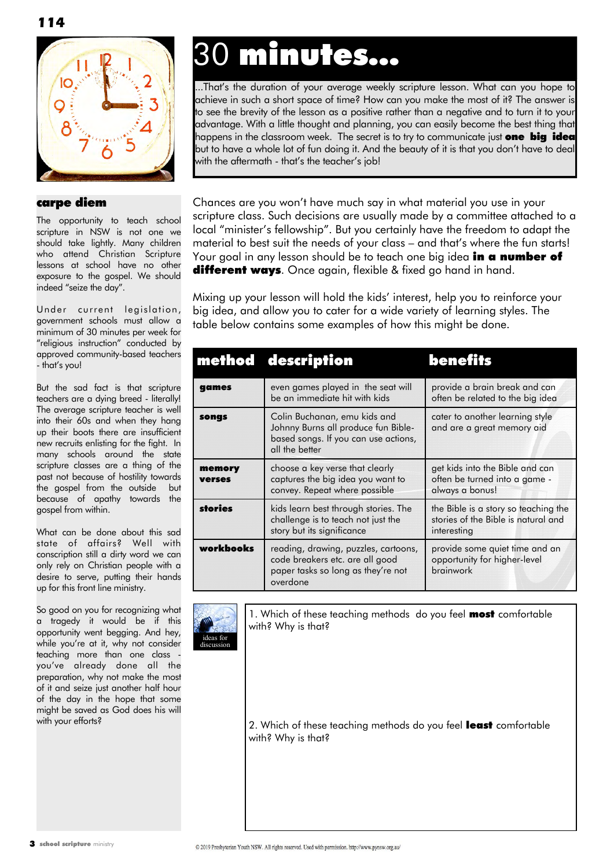

#### carpe diem

The opportunity to teach school scripture in NSW is not one we should take lightly. Many children who attend Christian Scripture lessons at school have no other exposure to the gospel. We should indeed "seize the day".

Under current legislation, government schools must allow a minimum of 30 minutes per week for "religious instruction" conducted by approved community-based teachers - that"s you!

But the sad fact is that scripture teachers are a dying breed - literally! The average scripture teacher is well into their 60s and when they hang up their boots there are insufficient new recruits enlisting for the fight. In many schools around the state scripture classes are a thing of the past not because of hostility towards the gospel from the outside but because of apathy towards the gospel from within.

What can be done about this sad state of affairs? Well with conscription still a dirty word we can only rely on Christian people with a desire to serve, putting their hands up for this front line ministry.

So good on you for recognizing what a tragedy it would be if this opportunity went begging. And hey, while you"re at it, why not consider teaching more than one class you"ve already done all the preparation, why not make the most of it and seize just another half hour of the day in the hope that some might be saved as God does his will with your efforts?

### 30 minutes...

...That"s the duration of your average weekly scripture lesson. What can you hope to achieve in such a short space of time? How can you make the most of it? The answer is to see the brevity of the lesson as a positive rather than a negative and to turn it to your advantage. With a little thought and planning, you can easily become the best thing that happens in the classroom week. The secret is to try to communicate just **one big idea** but to have a whole lot of fun doing it. And the beauty of it is that you don"t have to deal with the aftermath - that"s the teacher"s job!

Chances are you won"t have much say in what material you use in your scripture class. Such decisions are usually made by a committee attached to a local "minister's fellowship". But you certainly have the freedom to adapt the material to best suit the needs of your class – and that"s where the fun starts! Your goal in any lesson should be to teach one big idea **in a number of different ways**. Once again, flexible & fixed go hand in hand.

Mixing up your lesson will hold the kids" interest, help you to reinforce your big idea, and allow you to cater for a wide variety of learning styles. The table below contains some examples of how this might be done.

|                  | method description                                                                                                            | benefits                                                                                   |
|------------------|-------------------------------------------------------------------------------------------------------------------------------|--------------------------------------------------------------------------------------------|
| games            | even games played in the seat will<br>be an immediate hit with kids                                                           | provide a brain break and can<br>often be related to the big idea                          |
| songs            | Colin Buchanan, emu kids and<br>Johnny Burns all produce fun Bible-<br>based songs. If you can use actions,<br>all the better | cater to another learning style<br>and are a great memory aid                              |
| memory<br>verses | choose a key verse that clearly<br>captures the big idea you want to<br>convey. Repeat where possible                         | get kids into the Bible and can<br>often be turned into a game -<br>always a bonus!        |
| stories          | kids learn best through stories. The<br>challenge is to teach not just the<br>story but its significance                      | the Bible is a story so teaching the<br>stories of the Bible is natural and<br>interesting |
| workbooks        | reading, drawing, puzzles, cartoons,<br>code breakers etc. are all good<br>paper tasks so long as they're not<br>overdone     | provide some quiet time and an<br>opportunity for higher-level<br>brainwork                |



1. Which of these teaching methods do you feel most comfortable with? Why is that?

2. Which of these teaching methods do you feel least comfortable with? Why is that?